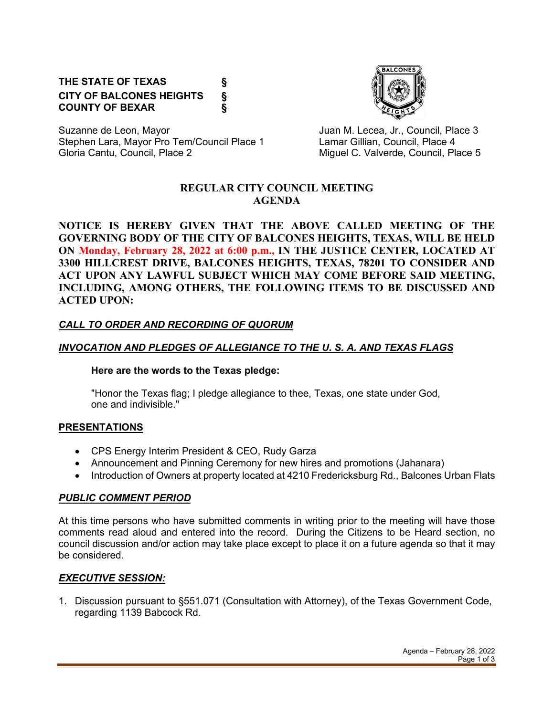# **THE STATE OF TEXAS § CITY OF BALCONES HEIGHTS § COUNTY OF BEXAR §**



Suzanne de Leon, Mayor **Juan M. Lecea, Jr., Council, Place 3** Stephen Lara, Mayor Pro Tem/Council Place 1 Lamar Gillian, Council, Place 4 Gloria Cantu, Council, Place 2 Council, and C. Valverde, Council, Place 5

#### **REGULAR CITY COUNCIL MEETING AGENDA**

**NOTICE IS HEREBY GIVEN THAT THE ABOVE CALLED MEETING OF THE GOVERNING BODY OF THE CITY OF BALCONES HEIGHTS, TEXAS, WILL BE HELD ON Monday, February 28, 2022 at 6:00 p.m., IN THE JUSTICE CENTER, LOCATED AT 3300 HILLCREST DRIVE, BALCONES HEIGHTS, TEXAS, 78201 TO CONSIDER AND ACT UPON ANY LAWFUL SUBJECT WHICH MAY COME BEFORE SAID MEETING, INCLUDING, AMONG OTHERS, THE FOLLOWING ITEMS TO BE DISCUSSED AND ACTED UPON:**

## *CALL TO ORDER AND RECORDING OF QUORUM*

## *INVOCATION AND PLEDGES OF ALLEGIANCE TO THE U. S. A. AND TEXAS FLAGS*

#### **Here are the words to the Texas pledge:**

"Honor the Texas flag; I pledge allegiance to thee, Texas, one state under God, one and indivisible."

## **PRESENTATIONS**

- CPS Energy Interim President & CEO, Rudy Garza
- Announcement and Pinning Ceremony for new hires and promotions (Jahanara)
- Introduction of Owners at property located at 4210 Fredericksburg Rd., Balcones Urban Flats

## *PUBLIC COMMENT PERIOD*

At this time persons who have submitted comments in writing prior to the meeting will have those comments read aloud and entered into the record. During the Citizens to be Heard section, no council discussion and/or action may take place except to place it on a future agenda so that it may be considered.

## *EXECUTIVE SESSION:*

1. Discussion pursuant to §551.071 (Consultation with Attorney), of the Texas Government Code, regarding 1139 Babcock Rd.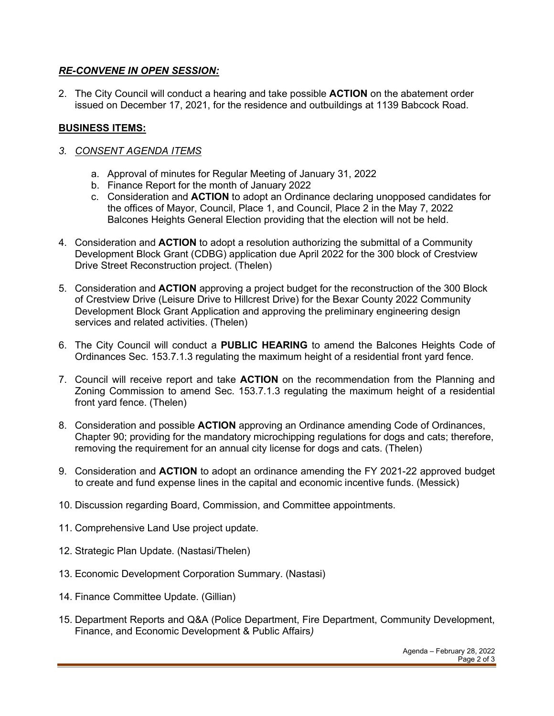### *RE-CONVENE IN OPEN SESSION:*

2. The City Council will conduct a hearing and take possible **ACTION** on the abatement order issued on December 17, 2021, for the residence and outbuildings at 1139 Babcock Road.

## **BUSINESS ITEMS:**

- *3. CONSENT AGENDA ITEMS*
	- a. Approval of minutes for Regular Meeting of January 31, 2022
	- b. Finance Report for the month of January 2022
	- c. Consideration and **ACTION** to adopt an Ordinance declaring unopposed candidates for the offices of Mayor, Council, Place 1, and Council, Place 2 in the May 7, 2022 Balcones Heights General Election providing that the election will not be held.
- 4. Consideration and **ACTION** to adopt a resolution authorizing the submittal of a Community Development Block Grant (CDBG) application due April 2022 for the 300 block of Crestview Drive Street Reconstruction project. (Thelen)
- 5. Consideration and **ACTION** approving a project budget for the reconstruction of the 300 Block of Crestview Drive (Leisure Drive to Hillcrest Drive) for the Bexar County 2022 Community Development Block Grant Application and approving the preliminary engineering design services and related activities. (Thelen)
- 6. The City Council will conduct a **PUBLIC HEARING** to amend the Balcones Heights Code of Ordinances Sec. 153.7.1.3 regulating the maximum height of a residential front yard fence.
- 7. Council will receive report and take **ACTION** on the recommendation from the Planning and Zoning Commission to amend Sec. 153.7.1.3 regulating the maximum height of a residential front yard fence. (Thelen)
- 8. Consideration and possible **ACTION** approving an Ordinance amending Code of Ordinances, Chapter 90; providing for the mandatory microchipping regulations for dogs and cats; therefore, removing the requirement for an annual city license for dogs and cats. (Thelen)
- 9. Consideration and **ACTION** to adopt an ordinance amending the FY 2021-22 approved budget to create and fund expense lines in the capital and economic incentive funds. (Messick)
- 10. Discussion regarding Board, Commission, and Committee appointments.
- 11. Comprehensive Land Use project update.
- 12. Strategic Plan Update. (Nastasi/Thelen)
- 13. Economic Development Corporation Summary. (Nastasi)
- 14. Finance Committee Update. (Gillian)
- 15. Department Reports and Q&A (Police Department, Fire Department, Community Development, Finance, and Economic Development & Public Affairs*)*